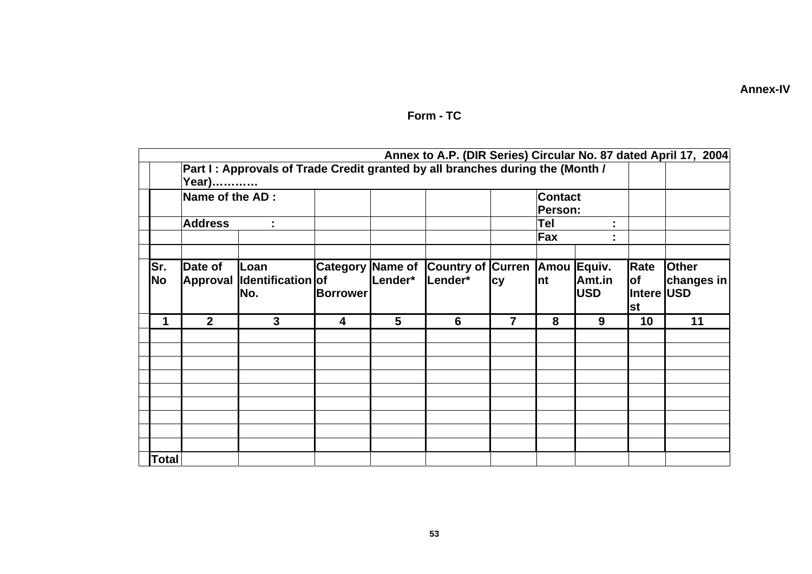|  | <b>Annex-IV</b> |  |
|--|-----------------|--|

|              | Annex to A.P. (DIR Series) Circular No. 87 dated April 17, 2004<br>Part I: Approvals of Trade Credit granted by all branches during the (Month /<br>Year) |                                         |                                            |         |                                          |                |                                                    |                      |                                 |                            |
|--------------|-----------------------------------------------------------------------------------------------------------------------------------------------------------|-----------------------------------------|--------------------------------------------|---------|------------------------------------------|----------------|----------------------------------------------------|----------------------|---------------------------------|----------------------------|
|              | Name of the AD :<br><b>Address</b><br>÷                                                                                                                   |                                         |                                            |         |                                          |                | <b>Contact</b><br>Person:<br>Tel<br>t,<br>Fax<br>٠ |                      |                                 |                            |
|              |                                                                                                                                                           |                                         |                                            |         |                                          |                |                                                    |                      |                                 |                            |
| lSr.<br>No   | Date of<br><b>Approval</b>                                                                                                                                | <b>Loan</b><br>Identification of<br>No. | <b>Category Name of</b><br><b>Borrower</b> | Lender* | Country of Curren Amou Equiv.<br>Lender* | cy             | Int                                                | Amt.in<br><b>USD</b> | Rate<br><b>of</b><br>Intere USD | <b>Other</b><br>changes in |
| 1            | $\overline{2}$                                                                                                                                            | $\mathbf{3}$                            | $\overline{\mathbf{4}}$                    | 5       | 6                                        | $\overline{7}$ | 8                                                  | 9                    | <b>St</b><br>10                 | 11                         |
|              |                                                                                                                                                           |                                         |                                            |         |                                          |                |                                                    |                      |                                 |                            |
| <b>Total</b> |                                                                                                                                                           |                                         |                                            |         |                                          |                |                                                    |                      |                                 |                            |

## Form - TC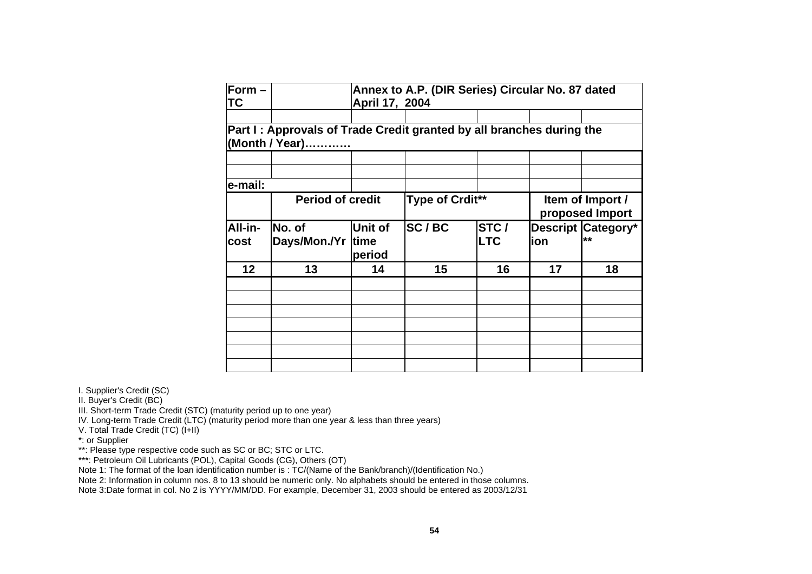| Form $-$<br>ТC  |                                                                                        | Annex to A.P. (DIR Series) Circular No. 87 dated<br>April 17, 2004 |                 |                             |                                     |                                 |  |  |
|-----------------|----------------------------------------------------------------------------------------|--------------------------------------------------------------------|-----------------|-----------------------------|-------------------------------------|---------------------------------|--|--|
|                 | Part I: Approvals of Trade Credit granted by all branches during the<br>(Month / Year) |                                                                    |                 |                             |                                     |                                 |  |  |
|                 |                                                                                        |                                                                    |                 |                             |                                     |                                 |  |  |
| e-mail:         | <b>Period of credit</b>                                                                |                                                                    | Type of Crdit** |                             | Item of Import /<br>proposed Import |                                 |  |  |
| All-in-<br>cost | No. of<br>Days/Mon./Yr time                                                            | Unit of<br>period                                                  | SC/BC           | <b>STC</b> /<br><b>ILTC</b> | ion                                 | <b>Descript Category*</b><br>** |  |  |
| 12              | 13                                                                                     | 14                                                                 | 15              | 16                          | 17                                  | 18                              |  |  |
|                 |                                                                                        |                                                                    |                 |                             |                                     |                                 |  |  |
|                 |                                                                                        |                                                                    |                 |                             |                                     |                                 |  |  |

I. Supplier's Credit (SC)

II. Buyer's Credit (BC)

III. Short-term Trade Credit (STC) (maturity period up to one year)

IV. Long-term Trade Credit (LTC) (maturity period more than one year & less than three years)

V. Total Trade Credit (TC) (I+II)

\*: or Supplier

\*\*: Please type respective code such as SC or BC; STC or LTC.

\*\*\*: Petroleum Oil Lubricants (POL), Capital Goods (CG), Others (OT)

Note 1: The format of the loan identification number is : TC/(Name of the Bank/branch)/(Identification No.)

Note 2: Information in column nos. 8 to 13 should be numeric only. No alphabets should be entered in those columns.

Note 3:Date format in col. No 2 is YYYY/MM/DD. For example, December 31, 2003 should be entered as 2003/12/31